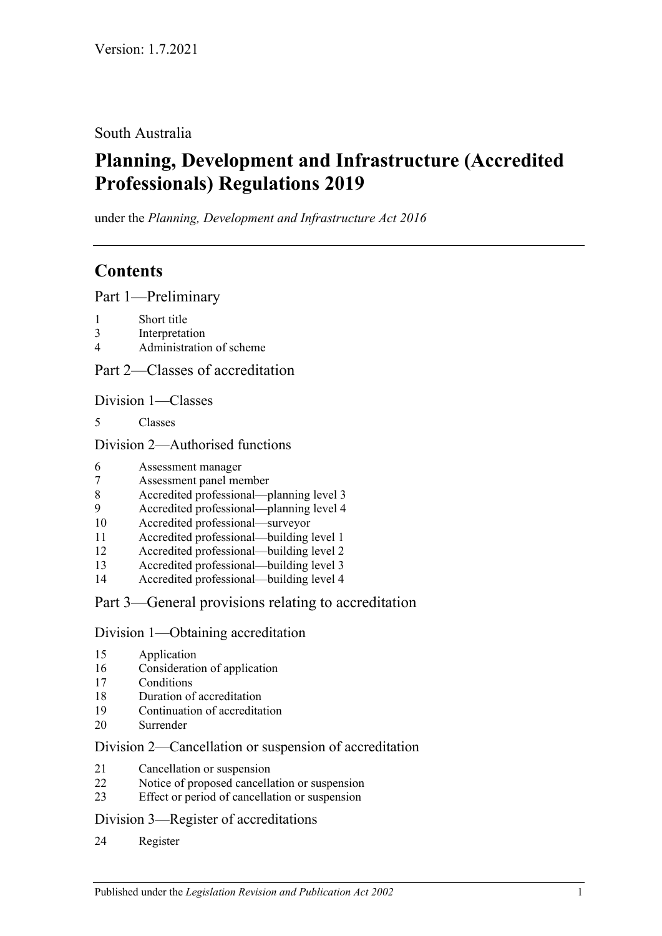# South Australia

# **Planning, Development and Infrastructure (Accredited Professionals) Regulations 2019**

under the *Planning, Development and Infrastructure Act 2016*

# **Contents**

Part [1—Preliminary](#page-1-0)

- [Short title](#page-1-1)
- [Interpretation](#page-1-2)
- [Administration of scheme](#page-3-0)

Part [2—Classes of accreditation](#page-3-1)

Division [1—Classes](#page-3-2)

[Classes](#page-3-3)

## Division [2—Authorised functions](#page-3-4)

- [Assessment manager](#page-3-5)
- [Assessment panel member](#page-4-0)
- [Accredited professional—planning level 3](#page-4-1)
- [Accredited professional—planning level 4](#page-4-2)
- [Accredited professional—surveyor](#page-4-3)
- [Accredited professional—building level 1](#page-4-4)
- [Accredited professional—building level 2](#page-5-0)
- [Accredited professional—building level 3](#page-5-1)
- [Accredited professional—building level 4](#page-5-2)

# Part [3—General provisions relating to accreditation](#page-5-3)

## Division [1—Obtaining accreditation](#page-5-4)

- [Application](#page-5-5)
- [Consideration of application](#page-6-0)
- [Conditions](#page-7-0)
- [Duration of accreditation](#page-8-0)
- [Continuation of accreditation](#page-8-1)
- [Surrender](#page-9-0)

## Division [2—Cancellation or suspension of accreditation](#page-9-1)

- [Cancellation or suspension](#page-9-2)
- [Notice of proposed cancellation or suspension](#page-9-3)
- [Effect or period of cancellation or suspension](#page-10-0)

## Division [3—Register of accreditations](#page-10-1)

[Register](#page-10-2)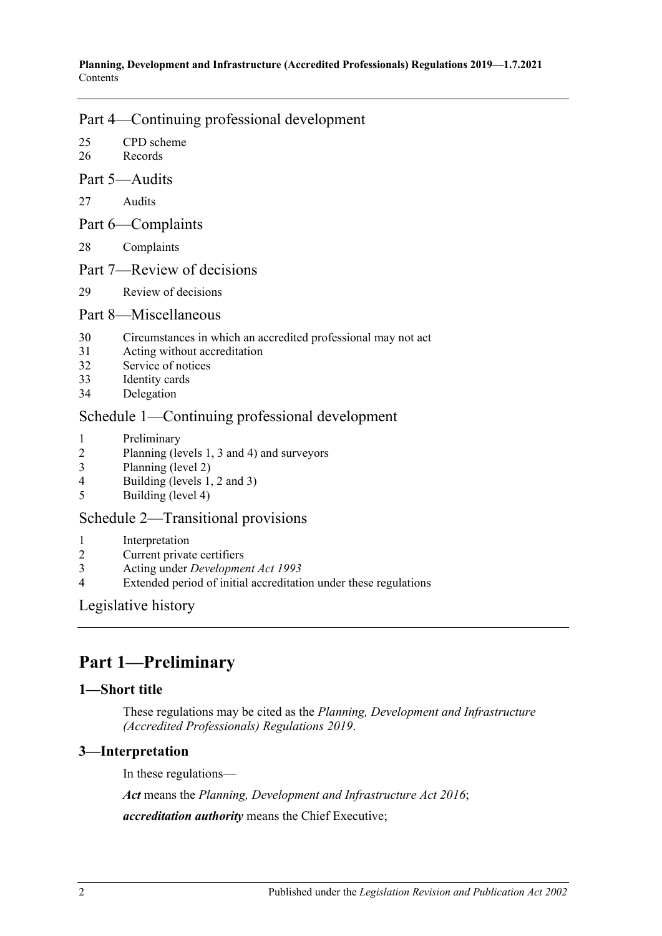## Part [4—Continuing professional development](#page-10-3)

- 25 [CPD scheme](#page-10-4)
- 26 [Records](#page-11-0)

## Part [5—Audits](#page-12-0)

- 27 [Audits](#page-12-1)
- Part [6—Complaints](#page-15-0)
- 28 [Complaints](#page-15-1)
- Part [7—Review of decisions](#page-17-0)
- 29 [Review of decisions](#page-17-1)

## Part [8—Miscellaneous](#page-18-0)

- 30 [Circumstances in which an accredited professional may not act](#page-18-1)
- 31 [Acting without accreditation](#page-18-2)
- 32 [Service of notices](#page-18-3)
- 33 [Identity cards](#page-18-4)
- 34 [Delegation](#page-19-0)

# Schedule [1—Continuing professional development](#page-19-1)

- 1 [Preliminary](#page-19-2)
- 2 [Planning \(levels 1, 3 and 4\) and surveyors](#page-19-3)
- 3 [Planning \(level 2\)](#page-20-0)
- 4 Building (levels  $1, 2$  and  $3$ )<br>5 Building (level  $4$ )
- [Building \(level 4\)](#page-20-2)

# Schedule [2—Transitional provisions](#page-21-0)

- 1 [Interpretation](#page-21-1)<br>2 Current privat
- [Current private certifiers](#page-21-2)
- 3 Acting under *[Development Act](#page-21-3) 1993*
- 4 [Extended period of initial accreditation under these regulations](#page-22-0)

[Legislative history](#page-23-0)

# <span id="page-1-0"></span>**Part 1—Preliminary**

## <span id="page-1-1"></span>**1—Short title**

These regulations may be cited as the *Planning, Development and Infrastructure (Accredited Professionals) Regulations 2019*.

## <span id="page-1-2"></span>**3—Interpretation**

In these regulations—

*Act* means the *[Planning, Development and Infrastructure Act](http://www.legislation.sa.gov.au/index.aspx?action=legref&type=act&legtitle=Planning%20Development%20and%20Infrastructure%20Act%202016) 2016*;

*accreditation authority* means the Chief Executive;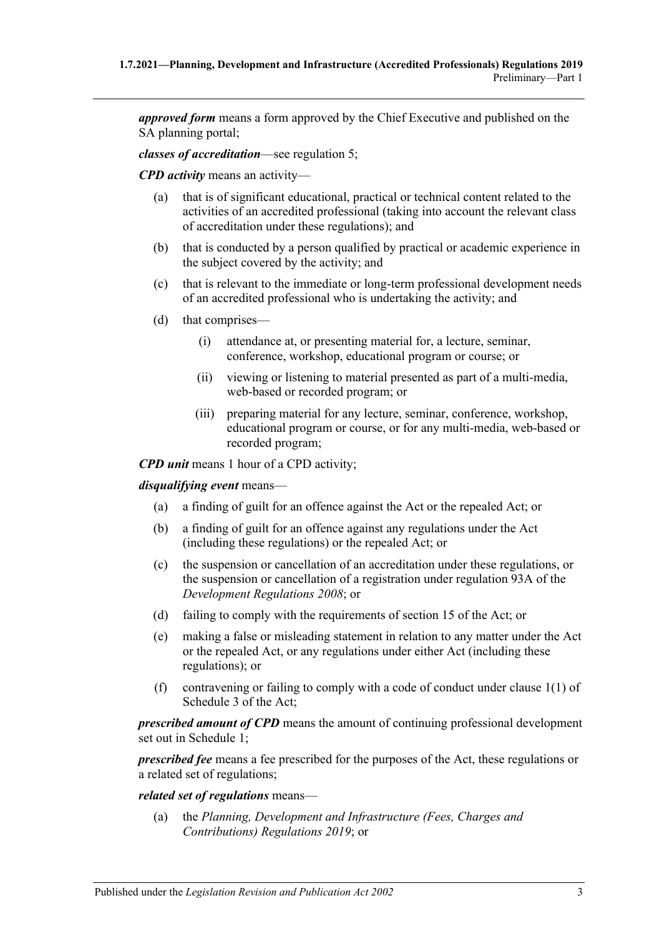*approved form* means a form approved by the Chief Executive and published on the SA planning portal;

*classes of accreditation*—see [regulation](#page-3-3) 5;

*CPD activity* means an activity—

- (a) that is of significant educational, practical or technical content related to the activities of an accredited professional (taking into account the relevant class of accreditation under these regulations); and
- (b) that is conducted by a person qualified by practical or academic experience in the subject covered by the activity; and
- (c) that is relevant to the immediate or long-term professional development needs of an accredited professional who is undertaking the activity; and
- (d) that comprises—
	- (i) attendance at, or presenting material for, a lecture, seminar, conference, workshop, educational program or course; or
	- (ii) viewing or listening to material presented as part of a multi-media, web-based or recorded program; or
	- (iii) preparing material for any lecture, seminar, conference, workshop, educational program or course, or for any multi-media, web-based or recorded program;

*CPD unit* means 1 hour of a CPD activity;

#### *disqualifying event* means—

- (a) a finding of guilt for an offence against the Act or the repealed Act; or
- (b) a finding of guilt for an offence against any regulations under the Act (including these regulations) or the repealed Act; or
- (c) the suspension or cancellation of an accreditation under these regulations, or the suspension or cancellation of a registration under regulation 93A of the *[Development Regulations](http://www.legislation.sa.gov.au/index.aspx?action=legref&type=subordleg&legtitle=Development%20Regulations%202008) 2008*; or
- (d) failing to comply with the requirements of section 15 of the Act; or
- (e) making a false or misleading statement in relation to any matter under the Act or the repealed Act, or any regulations under either Act (including these regulations); or
- (f) contravening or failing to comply with a code of conduct under clause 1(1) of Schedule 3 of the Act;

*prescribed amount of CPD* means the amount of continuing professional development set out in [Schedule](#page-19-1) 1;

*prescribed fee* means a fee prescribed for the purposes of the Act, these regulations or a related set of regulations;

#### *related set of regulations* means—

(a) the *[Planning, Development and Infrastructure \(Fees, Charges and](http://www.legislation.sa.gov.au/index.aspx?action=legref&type=subordleg&legtitle=Planning%20Development%20and%20Infrastructure%20(Fees%20Charges%20and%20Contributions)%20Regulations%202019)  [Contributions\) Regulations](http://www.legislation.sa.gov.au/index.aspx?action=legref&type=subordleg&legtitle=Planning%20Development%20and%20Infrastructure%20(Fees%20Charges%20and%20Contributions)%20Regulations%202019) 2019*; or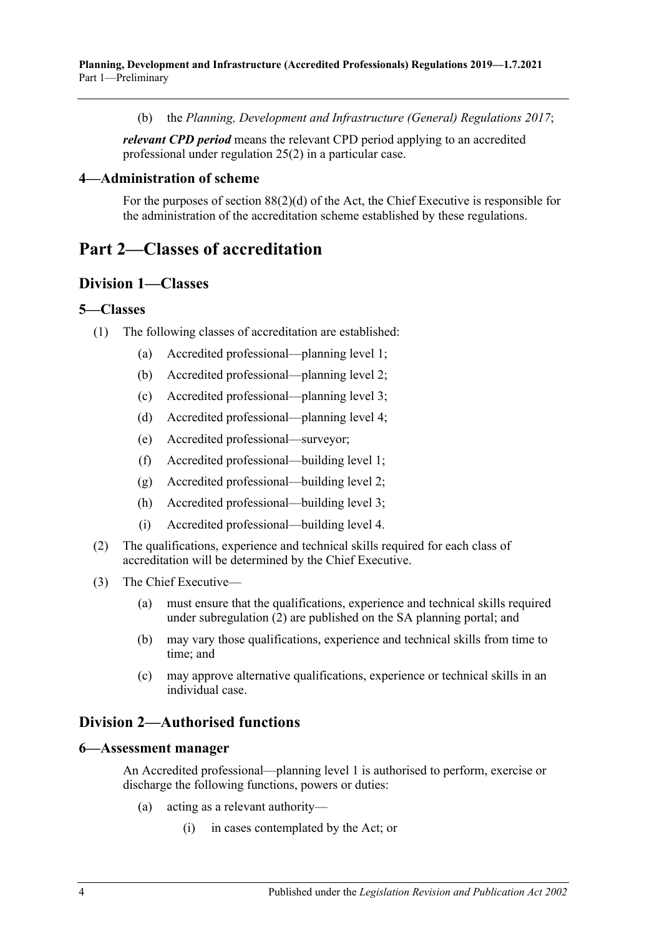(b) the *[Planning, Development and Infrastructure \(General\) Regulations](http://www.legislation.sa.gov.au/index.aspx?action=legref&type=subordleg&legtitle=Planning%20Development%20and%20Infrastructure%20(General)%20Regulations%202017) 2017*;

*relevant CPD period* means the relevant CPD period applying to an accredited professional under [regulation](#page-10-5) 25(2) in a particular case.

# <span id="page-3-0"></span>**4—Administration of scheme**

For the purposes of section 88(2)(d) of the Act, the Chief Executive is responsible for the administration of the accreditation scheme established by these regulations.

# <span id="page-3-1"></span>**Part 2—Classes of accreditation**

# <span id="page-3-2"></span>**Division 1—Classes**

# <span id="page-3-3"></span>**5—Classes**

- (1) The following classes of accreditation are established:
	- (a) Accredited professional—planning level 1;
	- (b) Accredited professional—planning level 2;
	- (c) Accredited professional—planning level 3;
	- (d) Accredited professional—planning level 4;
	- (e) Accredited professional—surveyor;
	- (f) Accredited professional—building level 1;
	- (g) Accredited professional—building level 2;
	- (h) Accredited professional—building level 3;
	- (i) Accredited professional—building level 4.
- <span id="page-3-6"></span>(2) The qualifications, experience and technical skills required for each class of accreditation will be determined by the Chief Executive.
- (3) The Chief Executive—
	- (a) must ensure that the qualifications, experience and technical skills required under [subregulation](#page-3-6) (2) are published on the SA planning portal; and
	- (b) may vary those qualifications, experience and technical skills from time to time; and
	- (c) may approve alternative qualifications, experience or technical skills in an individual case.

# <span id="page-3-4"></span>**Division 2—Authorised functions**

#### <span id="page-3-5"></span>**6—Assessment manager**

An Accredited professional—planning level 1 is authorised to perform, exercise or discharge the following functions, powers or duties:

- (a) acting as a relevant authority—
	- (i) in cases contemplated by the Act; or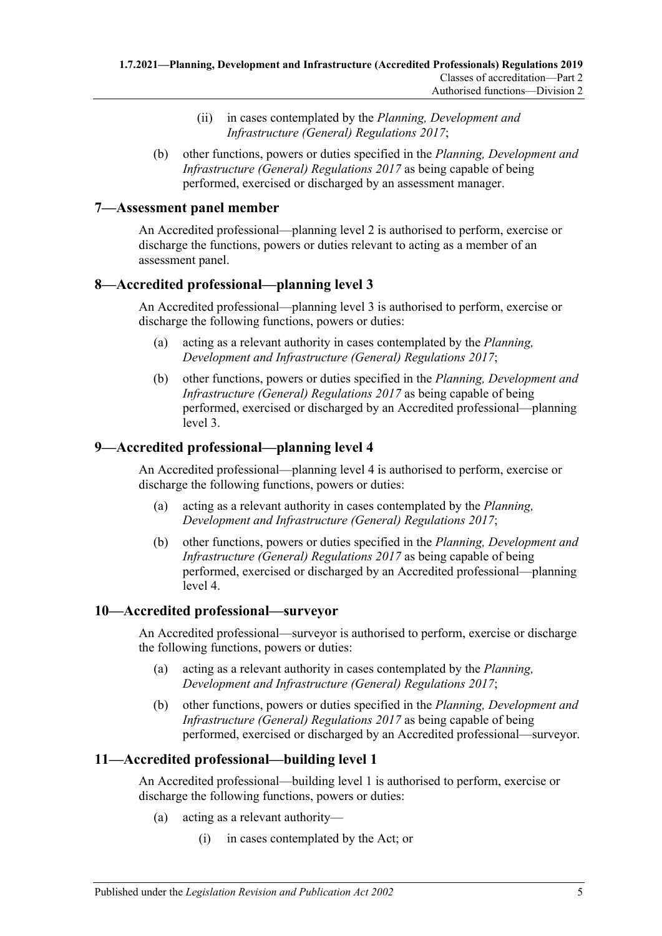- (ii) in cases contemplated by the *[Planning, Development and](http://www.legislation.sa.gov.au/index.aspx?action=legref&type=subordleg&legtitle=Planning%20Development%20and%20Infrastructure%20(General)%20Regulations%202017)  [Infrastructure \(General\) Regulations](http://www.legislation.sa.gov.au/index.aspx?action=legref&type=subordleg&legtitle=Planning%20Development%20and%20Infrastructure%20(General)%20Regulations%202017) 2017*;
- (b) other functions, powers or duties specified in the *[Planning, Development and](http://www.legislation.sa.gov.au/index.aspx?action=legref&type=subordleg&legtitle=Planning%20Development%20and%20Infrastructure%20(General)%20Regulations%202017)  [Infrastructure \(General\) Regulations](http://www.legislation.sa.gov.au/index.aspx?action=legref&type=subordleg&legtitle=Planning%20Development%20and%20Infrastructure%20(General)%20Regulations%202017) 2017* as being capable of being performed, exercised or discharged by an assessment manager.

# <span id="page-4-0"></span>**7—Assessment panel member**

An Accredited professional—planning level 2 is authorised to perform, exercise or discharge the functions, powers or duties relevant to acting as a member of an assessment panel.

# <span id="page-4-1"></span>**8—Accredited professional—planning level 3**

An Accredited professional—planning level 3 is authorised to perform, exercise or discharge the following functions, powers or duties:

- (a) acting as a relevant authority in cases contemplated by the *[Planning,](http://www.legislation.sa.gov.au/index.aspx?action=legref&type=subordleg&legtitle=Planning%20Development%20and%20Infrastructure%20(General)%20Regulations%202017)  [Development and Infrastructure \(General\) Regulations](http://www.legislation.sa.gov.au/index.aspx?action=legref&type=subordleg&legtitle=Planning%20Development%20and%20Infrastructure%20(General)%20Regulations%202017) 2017*;
- (b) other functions, powers or duties specified in the *[Planning, Development and](http://www.legislation.sa.gov.au/index.aspx?action=legref&type=subordleg&legtitle=Planning%20Development%20and%20Infrastructure%20(General)%20Regulations%202017)  [Infrastructure \(General\) Regulations](http://www.legislation.sa.gov.au/index.aspx?action=legref&type=subordleg&legtitle=Planning%20Development%20and%20Infrastructure%20(General)%20Regulations%202017) 2017* as being capable of being performed, exercised or discharged by an Accredited professional—planning level 3.

# <span id="page-4-2"></span>**9—Accredited professional—planning level 4**

An Accredited professional—planning level 4 is authorised to perform, exercise or discharge the following functions, powers or duties:

- (a) acting as a relevant authority in cases contemplated by the *[Planning,](http://www.legislation.sa.gov.au/index.aspx?action=legref&type=subordleg&legtitle=Planning%20Development%20and%20Infrastructure%20(General)%20Regulations%202017)  [Development and Infrastructure \(General\) Regulations](http://www.legislation.sa.gov.au/index.aspx?action=legref&type=subordleg&legtitle=Planning%20Development%20and%20Infrastructure%20(General)%20Regulations%202017) 2017*;
- (b) other functions, powers or duties specified in the *[Planning, Development and](http://www.legislation.sa.gov.au/index.aspx?action=legref&type=subordleg&legtitle=Planning%20Development%20and%20Infrastructure%20(General)%20Regulations%202017)  [Infrastructure \(General\) Regulations](http://www.legislation.sa.gov.au/index.aspx?action=legref&type=subordleg&legtitle=Planning%20Development%20and%20Infrastructure%20(General)%20Regulations%202017) 2017* as being capable of being performed, exercised or discharged by an Accredited professional—planning level 4.

## <span id="page-4-3"></span>**10—Accredited professional—surveyor**

An Accredited professional—surveyor is authorised to perform, exercise or discharge the following functions, powers or duties:

- (a) acting as a relevant authority in cases contemplated by the *[Planning,](http://www.legislation.sa.gov.au/index.aspx?action=legref&type=subordleg&legtitle=Planning%20Development%20and%20Infrastructure%20(General)%20Regulations%202017)  [Development and Infrastructure \(General\) Regulations](http://www.legislation.sa.gov.au/index.aspx?action=legref&type=subordleg&legtitle=Planning%20Development%20and%20Infrastructure%20(General)%20Regulations%202017) 2017*;
- (b) other functions, powers or duties specified in the *[Planning, Development and](http://www.legislation.sa.gov.au/index.aspx?action=legref&type=subordleg&legtitle=Planning%20Development%20and%20Infrastructure%20(General)%20Regulations%202017)  [Infrastructure \(General\) Regulations](http://www.legislation.sa.gov.au/index.aspx?action=legref&type=subordleg&legtitle=Planning%20Development%20and%20Infrastructure%20(General)%20Regulations%202017) 2017* as being capable of being performed, exercised or discharged by an Accredited professional—surveyor.

# <span id="page-4-4"></span>**11—Accredited professional—building level 1**

An Accredited professional—building level 1 is authorised to perform, exercise or discharge the following functions, powers or duties:

- (a) acting as a relevant authority—
	- (i) in cases contemplated by the Act; or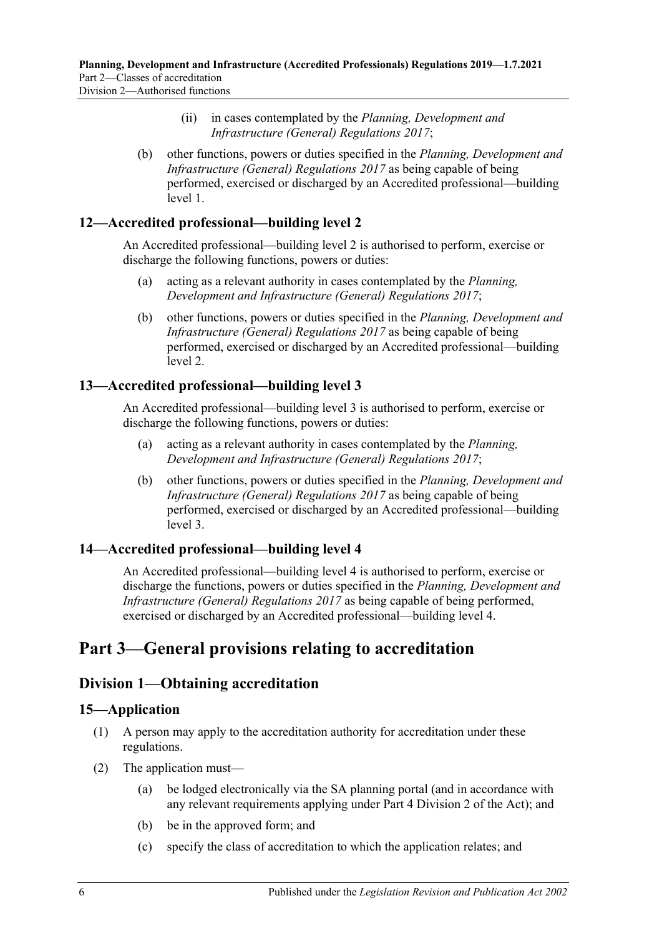- (ii) in cases contemplated by the *[Planning, Development and](http://www.legislation.sa.gov.au/index.aspx?action=legref&type=subordleg&legtitle=Planning%20Development%20and%20Infrastructure%20(General)%20Regulations%202017)  [Infrastructure \(General\) Regulations](http://www.legislation.sa.gov.au/index.aspx?action=legref&type=subordleg&legtitle=Planning%20Development%20and%20Infrastructure%20(General)%20Regulations%202017) 2017*;
- (b) other functions, powers or duties specified in the *[Planning, Development and](http://www.legislation.sa.gov.au/index.aspx?action=legref&type=subordleg&legtitle=Planning%20Development%20and%20Infrastructure%20(General)%20Regulations%202017)  [Infrastructure \(General\) Regulations](http://www.legislation.sa.gov.au/index.aspx?action=legref&type=subordleg&legtitle=Planning%20Development%20and%20Infrastructure%20(General)%20Regulations%202017) 2017* as being capable of being performed, exercised or discharged by an Accredited professional—building level 1.

# <span id="page-5-0"></span>**12—Accredited professional—building level 2**

An Accredited professional—building level 2 is authorised to perform, exercise or discharge the following functions, powers or duties:

- (a) acting as a relevant authority in cases contemplated by the *[Planning,](http://www.legislation.sa.gov.au/index.aspx?action=legref&type=subordleg&legtitle=Planning%20Development%20and%20Infrastructure%20(General)%20Regulations%202017)  [Development and Infrastructure \(General\) Regulations](http://www.legislation.sa.gov.au/index.aspx?action=legref&type=subordleg&legtitle=Planning%20Development%20and%20Infrastructure%20(General)%20Regulations%202017) 2017*;
- (b) other functions, powers or duties specified in the *[Planning, Development and](http://www.legislation.sa.gov.au/index.aspx?action=legref&type=subordleg&legtitle=Planning%20Development%20and%20Infrastructure%20(General)%20Regulations%202017)  [Infrastructure \(General\) Regulations](http://www.legislation.sa.gov.au/index.aspx?action=legref&type=subordleg&legtitle=Planning%20Development%20and%20Infrastructure%20(General)%20Regulations%202017) 2017* as being capable of being performed, exercised or discharged by an Accredited professional—building level 2.

# <span id="page-5-1"></span>**13—Accredited professional—building level 3**

An Accredited professional—building level 3 is authorised to perform, exercise or discharge the following functions, powers or duties:

- (a) acting as a relevant authority in cases contemplated by the *[Planning,](http://www.legislation.sa.gov.au/index.aspx?action=legref&type=subordleg&legtitle=Planning%20Development%20and%20Infrastructure%20(General)%20Regulations%202017)  [Development and Infrastructure \(General\) Regulations](http://www.legislation.sa.gov.au/index.aspx?action=legref&type=subordleg&legtitle=Planning%20Development%20and%20Infrastructure%20(General)%20Regulations%202017) 2017*;
- (b) other functions, powers or duties specified in the *[Planning, Development and](http://www.legislation.sa.gov.au/index.aspx?action=legref&type=subordleg&legtitle=Planning%20Development%20and%20Infrastructure%20(General)%20Regulations%202017)  [Infrastructure \(General\) Regulations](http://www.legislation.sa.gov.au/index.aspx?action=legref&type=subordleg&legtitle=Planning%20Development%20and%20Infrastructure%20(General)%20Regulations%202017) 2017* as being capable of being performed, exercised or discharged by an Accredited professional—building level 3.

## <span id="page-5-2"></span>**14—Accredited professional—building level 4**

An Accredited professional—building level 4 is authorised to perform, exercise or discharge the functions, powers or duties specified in the *[Planning, Development and](http://www.legislation.sa.gov.au/index.aspx?action=legref&type=subordleg&legtitle=Planning%20Development%20and%20Infrastructure%20(General)%20Regulations%202017)  [Infrastructure \(General\) Regulations](http://www.legislation.sa.gov.au/index.aspx?action=legref&type=subordleg&legtitle=Planning%20Development%20and%20Infrastructure%20(General)%20Regulations%202017) 2017* as being capable of being performed, exercised or discharged by an Accredited professional—building level 4.

# <span id="page-5-3"></span>**Part 3—General provisions relating to accreditation**

# <span id="page-5-4"></span>**Division 1—Obtaining accreditation**

## <span id="page-5-5"></span>**15—Application**

- (1) A person may apply to the accreditation authority for accreditation under these regulations.
- (2) The application must—
	- (a) be lodged electronically via the SA planning portal (and in accordance with any relevant requirements applying under Part 4 Division 2 of the Act); and
	- (b) be in the approved form; and
	- (c) specify the class of accreditation to which the application relates; and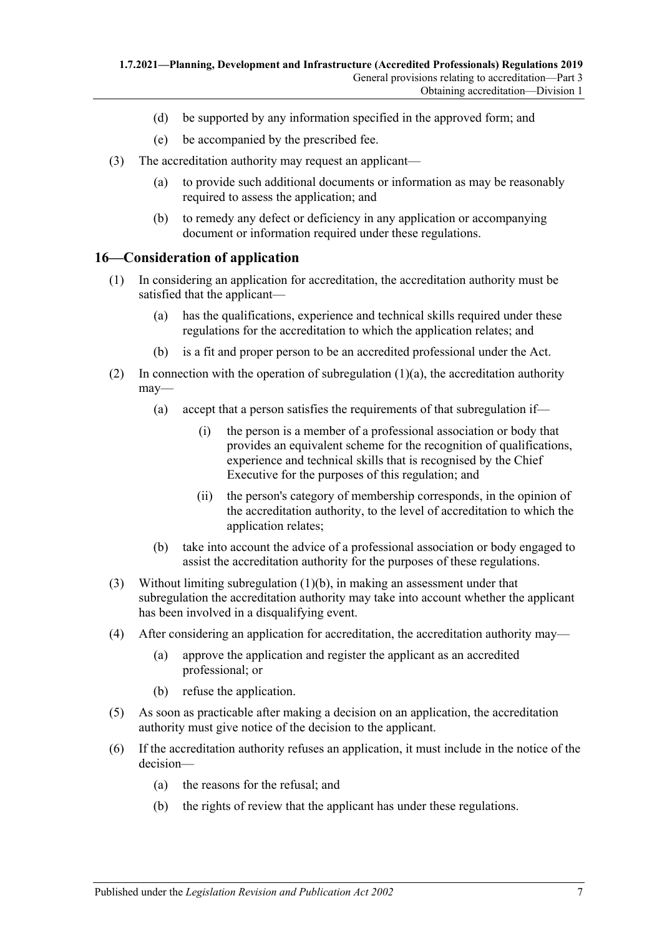- (d) be supported by any information specified in the approved form; and
- (e) be accompanied by the prescribed fee.
- (3) The accreditation authority may request an applicant—
	- (a) to provide such additional documents or information as may be reasonably required to assess the application; and
	- (b) to remedy any defect or deficiency in any application or accompanying document or information required under these regulations.

#### <span id="page-6-0"></span>**16—Consideration of application**

- <span id="page-6-1"></span>(1) In considering an application for accreditation, the accreditation authority must be satisfied that the applicant—
	- (a) has the qualifications, experience and technical skills required under these regulations for the accreditation to which the application relates; and
	- (b) is a fit and proper person to be an accredited professional under the Act.
- <span id="page-6-2"></span>(2) In connection with the operation of [subregulation](#page-6-1)  $(1)(a)$ , the accreditation authority may—
	- (a) accept that a person satisfies the requirements of that subregulation if—
		- (i) the person is a member of a professional association or body that provides an equivalent scheme for the recognition of qualifications, experience and technical skills that is recognised by the Chief Executive for the purposes of this regulation; and
		- (ii) the person's category of membership corresponds, in the opinion of the accreditation authority, to the level of accreditation to which the application relates;
	- (b) take into account the advice of a professional association or body engaged to assist the accreditation authority for the purposes of these regulations.
- <span id="page-6-3"></span>(3) Without limiting [subregulation](#page-6-2) (1)(b), in making an assessment under that subregulation the accreditation authority may take into account whether the applicant has been involved in a disqualifying event.
- (4) After considering an application for accreditation, the accreditation authority may—
	- (a) approve the application and register the applicant as an accredited professional; or
	- (b) refuse the application.
- (5) As soon as practicable after making a decision on an application, the accreditation authority must give notice of the decision to the applicant.
- (6) If the accreditation authority refuses an application, it must include in the notice of the decision—
	- (a) the reasons for the refusal; and
	- (b) the rights of review that the applicant has under these regulations.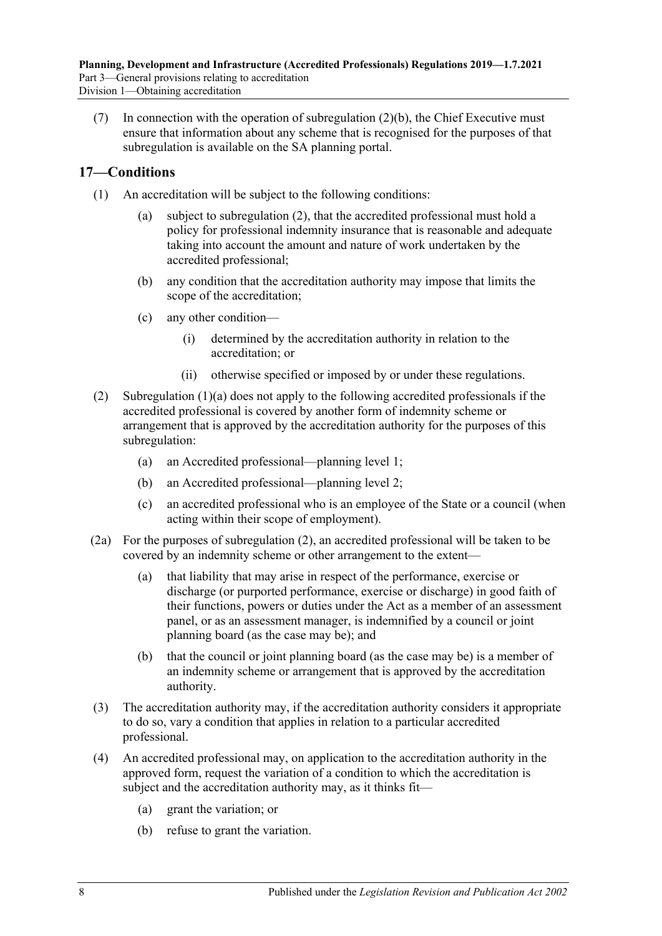(7) In connection with the operation of [subregulation](#page-6-3)  $(2)(b)$ , the Chief Executive must ensure that information about any scheme that is recognised for the purposes of that subregulation is available on the SA planning portal.

# <span id="page-7-0"></span>**17—Conditions**

- <span id="page-7-2"></span>(1) An accreditation will be subject to the following conditions:
	- (a) subject to [subregulation](#page-7-1) (2), that the accredited professional must hold a policy for professional indemnity insurance that is reasonable and adequate taking into account the amount and nature of work undertaken by the accredited professional;
	- (b) any condition that the accreditation authority may impose that limits the scope of the accreditation;
	- (c) any other condition—
		- (i) determined by the accreditation authority in relation to the accreditation; or
		- (ii) otherwise specified or imposed by or under these regulations.
- <span id="page-7-1"></span>(2) [Subregulation](#page-7-2) (1)(a) does not apply to the following accredited professionals if the accredited professional is covered by another form of indemnity scheme or arrangement that is approved by the accreditation authority for the purposes of this subregulation:
	- (a) an Accredited professional—planning level 1;
	- (b) an Accredited professional—planning level 2;
	- (c) an accredited professional who is an employee of the State or a council (when acting within their scope of employment).
- (2a) For the purposes of [subregulation](#page-7-1) (2), an accredited professional will be taken to be covered by an indemnity scheme or other arrangement to the extent—
	- (a) that liability that may arise in respect of the performance, exercise or discharge (or purported performance, exercise or discharge) in good faith of their functions, powers or duties under the Act as a member of an assessment panel, or as an assessment manager, is indemnified by a council or joint planning board (as the case may be); and
	- (b) that the council or joint planning board (as the case may be) is a member of an indemnity scheme or arrangement that is approved by the accreditation authority.
- (3) The accreditation authority may, if the accreditation authority considers it appropriate to do so, vary a condition that applies in relation to a particular accredited professional.
- (4) An accredited professional may, on application to the accreditation authority in the approved form, request the variation of a condition to which the accreditation is subject and the accreditation authority may, as it thinks fit—
	- (a) grant the variation; or
	- (b) refuse to grant the variation.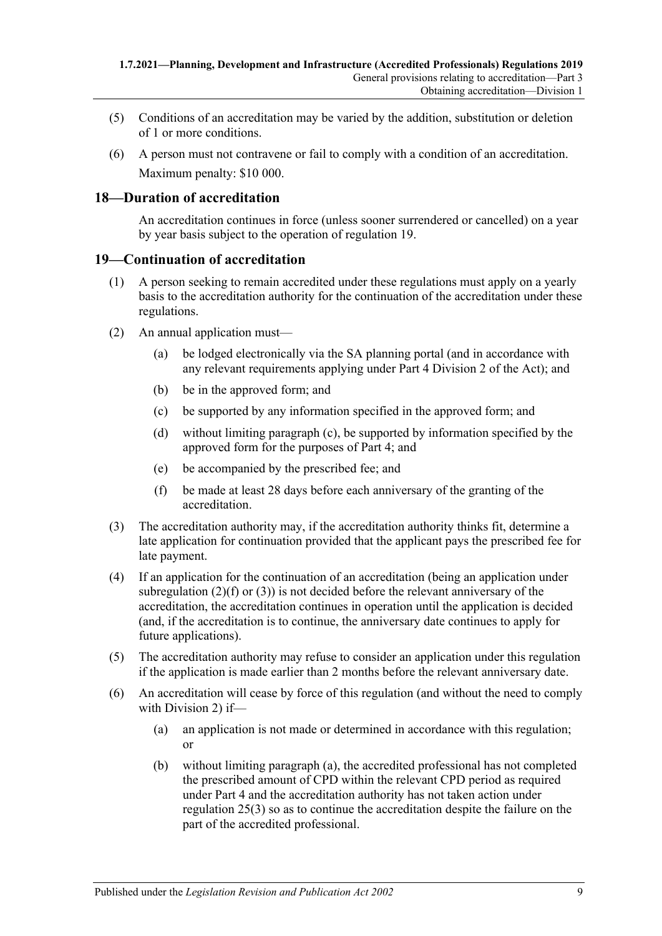- (5) Conditions of an accreditation may be varied by the addition, substitution or deletion of 1 or more conditions.
- (6) A person must not contravene or fail to comply with a condition of an accreditation. Maximum penalty: \$10 000.

## <span id="page-8-0"></span>**18—Duration of accreditation**

An accreditation continues in force (unless sooner surrendered or cancelled) on a year by year basis subject to the operation of [regulation](#page-8-1) 19.

## <span id="page-8-1"></span>**19—Continuation of accreditation**

- (1) A person seeking to remain accredited under these regulations must apply on a yearly basis to the accreditation authority for the continuation of the accreditation under these regulations.
- <span id="page-8-2"></span>(2) An annual application must—
	- (a) be lodged electronically via the SA planning portal (and in accordance with any relevant requirements applying under Part 4 Division 2 of the Act); and
	- (b) be in the approved form; and
	- (c) be supported by any information specified in the approved form; and
	- (d) without limiting [paragraph](#page-8-2) (c), be supported by information specified by the approved form for the purposes of [Part](#page-10-3) 4; and
	- (e) be accompanied by the prescribed fee; and
	- (f) be made at least 28 days before each anniversary of the granting of the accreditation.
- <span id="page-8-4"></span><span id="page-8-3"></span>(3) The accreditation authority may, if the accreditation authority thinks fit, determine a late application for continuation provided that the applicant pays the prescribed fee for late payment.
- (4) If an application for the continuation of an accreditation (being an application under [subregulation](#page-8-3) (2)(f) or [\(3\)\)](#page-8-4) is not decided before the relevant anniversary of the accreditation, the accreditation continues in operation until the application is decided (and, if the accreditation is to continue, the anniversary date continues to apply for future applications).
- (5) The accreditation authority may refuse to consider an application under this regulation if the application is made earlier than 2 months before the relevant anniversary date.
- <span id="page-8-5"></span>(6) An accreditation will cease by force of this regulation (and without the need to comply with [Division](#page-9-1) 2) if—
	- (a) an application is not made or determined in accordance with this regulation; or
	- (b) without limiting [paragraph](#page-8-5) (a), the accredited professional has not completed the prescribed amount of CPD within the relevant CPD period as required under [Part](#page-10-3) 4 and the accreditation authority has not taken action under [regulation](#page-11-1) 25(3) so as to continue the accreditation despite the failure on the part of the accredited professional.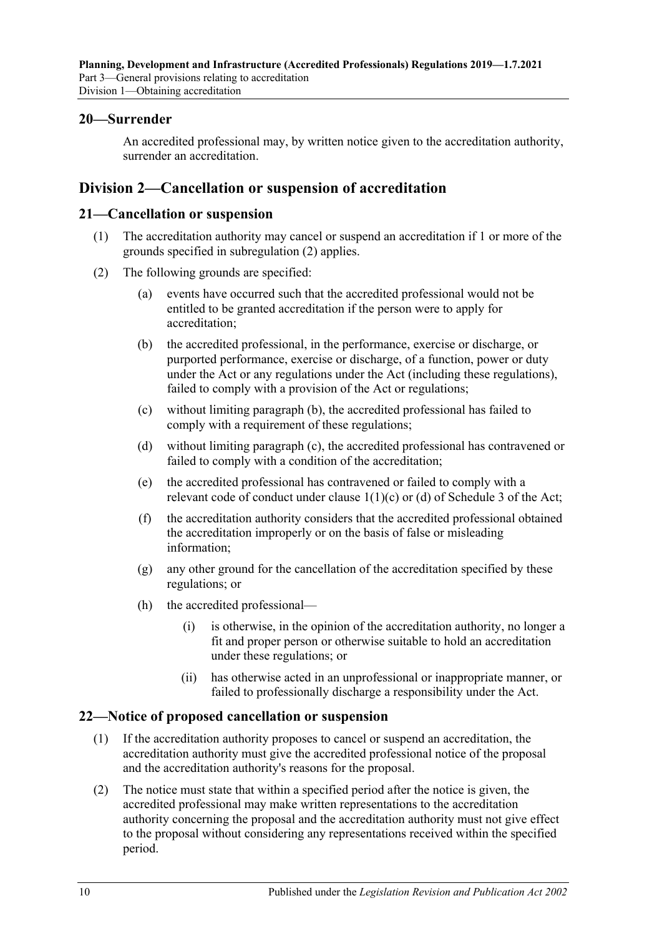### <span id="page-9-0"></span>**20—Surrender**

An accredited professional may, by written notice given to the accreditation authority, surrender an accreditation.

# <span id="page-9-1"></span>**Division 2—Cancellation or suspension of accreditation**

#### <span id="page-9-2"></span>**21—Cancellation or suspension**

- (1) The accreditation authority may cancel or suspend an accreditation if 1 or more of the grounds specified in [subregulation](#page-9-4) (2) applies.
- <span id="page-9-6"></span><span id="page-9-5"></span><span id="page-9-4"></span>(2) The following grounds are specified:
	- (a) events have occurred such that the accredited professional would not be entitled to be granted accreditation if the person were to apply for accreditation;
	- (b) the accredited professional, in the performance, exercise or discharge, or purported performance, exercise or discharge, of a function, power or duty under the Act or any regulations under the Act (including these regulations), failed to comply with a provision of the Act or regulations;
	- (c) without limiting [paragraph](#page-9-5) (b), the accredited professional has failed to comply with a requirement of these regulations;
	- (d) without limiting [paragraph](#page-9-6) (c), the accredited professional has contravened or failed to comply with a condition of the accreditation;
	- (e) the accredited professional has contravened or failed to comply with a relevant code of conduct under clause 1(1)(c) or (d) of Schedule 3 of the Act;
	- (f) the accreditation authority considers that the accredited professional obtained the accreditation improperly or on the basis of false or misleading information;
	- (g) any other ground for the cancellation of the accreditation specified by these regulations; or
	- (h) the accredited professional—
		- (i) is otherwise, in the opinion of the accreditation authority, no longer a fit and proper person or otherwise suitable to hold an accreditation under these regulations; or
		- (ii) has otherwise acted in an unprofessional or inappropriate manner, or failed to professionally discharge a responsibility under the Act.

#### <span id="page-9-3"></span>**22—Notice of proposed cancellation or suspension**

- (1) If the accreditation authority proposes to cancel or suspend an accreditation, the accreditation authority must give the accredited professional notice of the proposal and the accreditation authority's reasons for the proposal.
- (2) The notice must state that within a specified period after the notice is given, the accredited professional may make written representations to the accreditation authority concerning the proposal and the accreditation authority must not give effect to the proposal without considering any representations received within the specified period.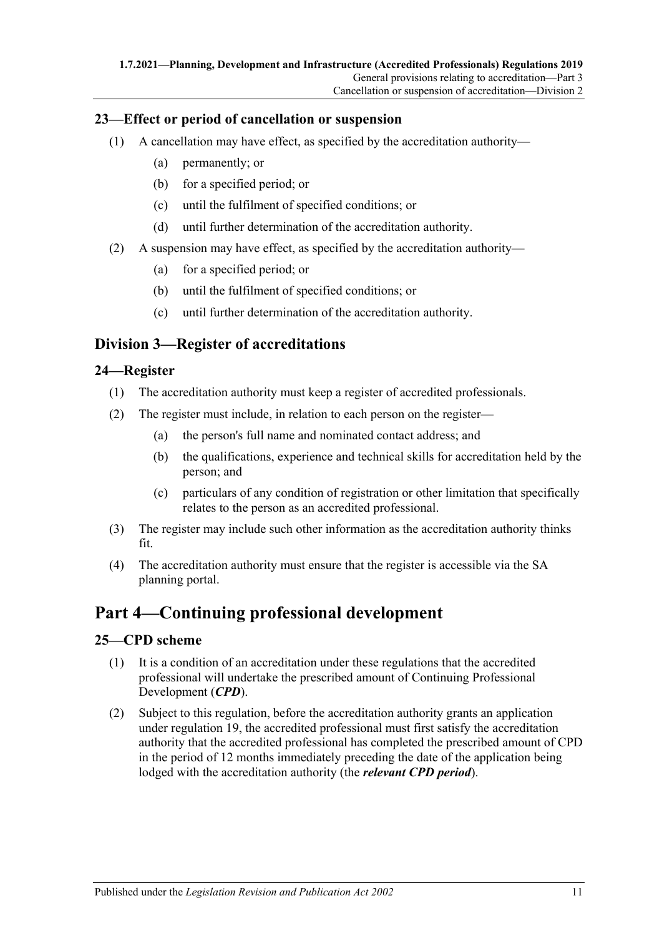## <span id="page-10-0"></span>**23—Effect or period of cancellation or suspension**

- (1) A cancellation may have effect, as specified by the accreditation authority—
	- (a) permanently; or
	- (b) for a specified period; or
	- (c) until the fulfilment of specified conditions; or
	- (d) until further determination of the accreditation authority.
- (2) A suspension may have effect, as specified by the accreditation authority—
	- (a) for a specified period; or
	- (b) until the fulfilment of specified conditions; or
	- (c) until further determination of the accreditation authority.

# <span id="page-10-1"></span>**Division 3—Register of accreditations**

## <span id="page-10-2"></span>**24—Register**

- (1) The accreditation authority must keep a register of accredited professionals.
- (2) The register must include, in relation to each person on the register—
	- (a) the person's full name and nominated contact address; and
	- (b) the qualifications, experience and technical skills for accreditation held by the person; and
	- (c) particulars of any condition of registration or other limitation that specifically relates to the person as an accredited professional.
- (3) The register may include such other information as the accreditation authority thinks fit.
- (4) The accreditation authority must ensure that the register is accessible via the SA planning portal.

# <span id="page-10-3"></span>**Part 4—Continuing professional development**

## <span id="page-10-6"></span><span id="page-10-4"></span>**25—CPD scheme**

- (1) It is a condition of an accreditation under these regulations that the accredited professional will undertake the prescribed amount of Continuing Professional Development (*CPD*).
- <span id="page-10-5"></span>(2) Subject to this regulation, before the accreditation authority grants an application under [regulation](#page-8-1) 19, the accredited professional must first satisfy the accreditation authority that the accredited professional has completed the prescribed amount of CPD in the period of 12 months immediately preceding the date of the application being lodged with the accreditation authority (the *relevant CPD period*).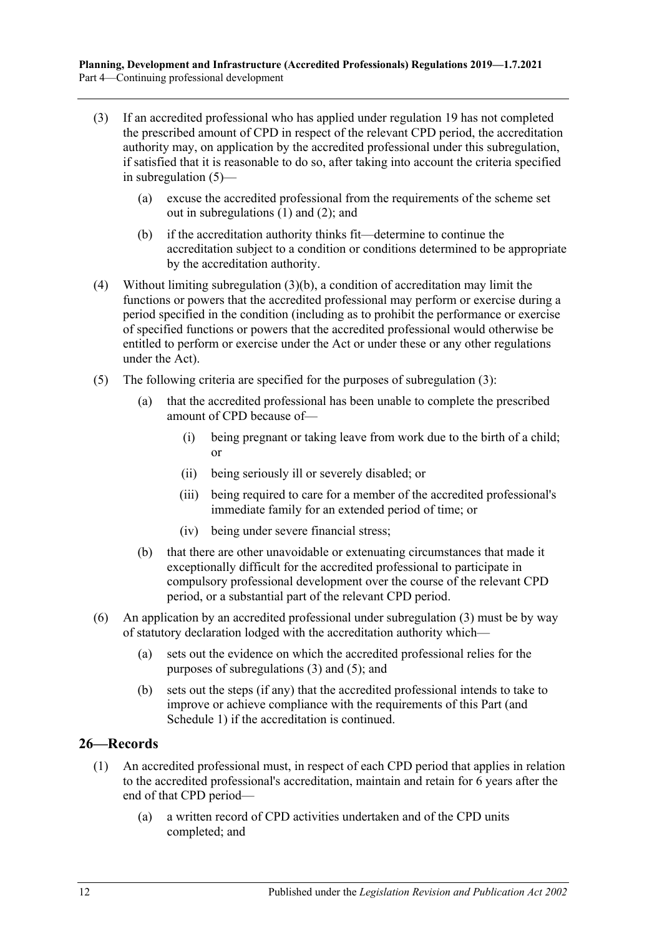- <span id="page-11-1"></span>(3) If an accredited professional who has applied under [regulation](#page-8-1) 19 has not completed the prescribed amount of CPD in respect of the relevant CPD period, the accreditation authority may, on application by the accredited professional under this subregulation, if satisfied that it is reasonable to do so, after taking into account the criteria specified in [subregulation](#page-11-2) (5)—
	- (a) excuse the accredited professional from the requirements of the scheme set out in [subregulations](#page-10-6)  $(1)$  and  $(2)$ ; and
	- (b) if the accreditation authority thinks fit—determine to continue the accreditation subject to a condition or conditions determined to be appropriate by the accreditation authority.
- <span id="page-11-3"></span>(4) Without limiting [subregulation](#page-11-3) (3)(b), a condition of accreditation may limit the functions or powers that the accredited professional may perform or exercise during a period specified in the condition (including as to prohibit the performance or exercise of specified functions or powers that the accredited professional would otherwise be entitled to perform or exercise under the Act or under these or any other regulations under the Act).
- <span id="page-11-2"></span>(5) The following criteria are specified for the purposes of [subregulation](#page-11-1) (3):
	- (a) that the accredited professional has been unable to complete the prescribed amount of CPD because of—
		- (i) being pregnant or taking leave from work due to the birth of a child; or
		- (ii) being seriously ill or severely disabled; or
		- (iii) being required to care for a member of the accredited professional's immediate family for an extended period of time; or
		- (iv) being under severe financial stress;
	- (b) that there are other unavoidable or extenuating circumstances that made it exceptionally difficult for the accredited professional to participate in compulsory professional development over the course of the relevant CPD period, or a substantial part of the relevant CPD period.
- (6) An application by an accredited professional under [subregulation](#page-11-1) (3) must be by way of statutory declaration lodged with the accreditation authority which—
	- (a) sets out the evidence on which the accredited professional relies for the purposes of [subregulations](#page-11-1) (3) and [\(5\);](#page-11-2) and
	- (b) sets out the steps (if any) that the accredited professional intends to take to improve or achieve compliance with the requirements of this Part (and [Schedule](#page-19-1) 1) if the accreditation is continued.

## <span id="page-11-4"></span><span id="page-11-0"></span>**26—Records**

- (1) An accredited professional must, in respect of each CPD period that applies in relation to the accredited professional's accreditation, maintain and retain for 6 years after the end of that CPD period—
	- (a) a written record of CPD activities undertaken and of the CPD units completed; and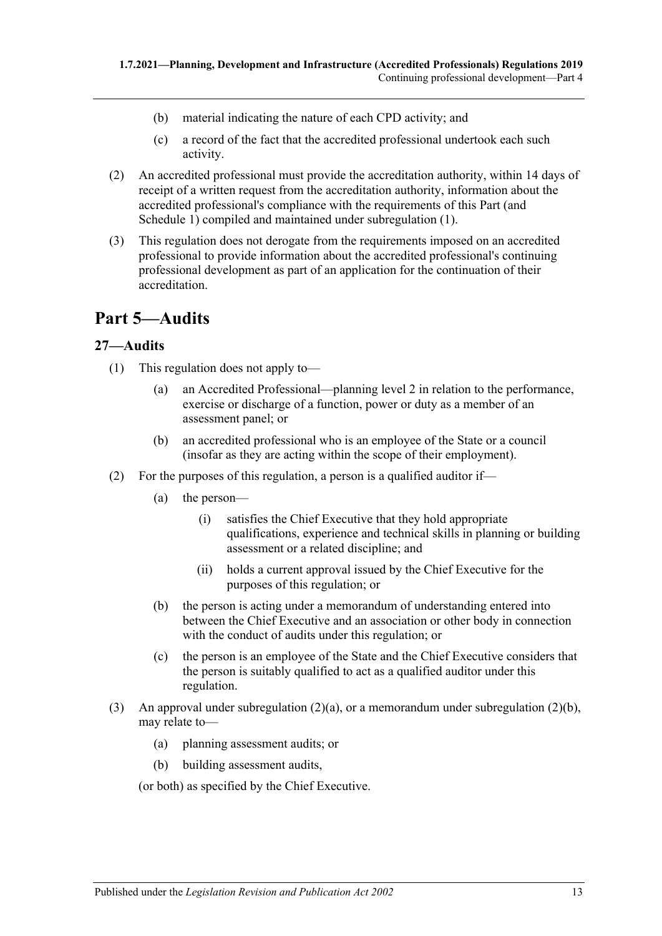- (b) material indicating the nature of each CPD activity; and
- (c) a record of the fact that the accredited professional undertook each such activity.
- (2) An accredited professional must provide the accreditation authority, within 14 days of receipt of a written request from the accreditation authority, information about the accredited professional's compliance with the requirements of this Part (and [Schedule](#page-19-1) 1) compiled and maintained under [subregulation](#page-11-4) (1).
- (3) This regulation does not derogate from the requirements imposed on an accredited professional to provide information about the accredited professional's continuing professional development as part of an application for the continuation of their accreditation.

# <span id="page-12-0"></span>**Part 5—Audits**

## <span id="page-12-1"></span>**27—Audits**

- (1) This regulation does not apply to—
	- (a) an Accredited Professional—planning level 2 in relation to the performance, exercise or discharge of a function, power or duty as a member of an assessment panel; or
	- (b) an accredited professional who is an employee of the State or a council (insofar as they are acting within the scope of their employment).
- <span id="page-12-2"></span>(2) For the purposes of this regulation, a person is a qualified auditor if—
	- (a) the person—
		- (i) satisfies the Chief Executive that they hold appropriate qualifications, experience and technical skills in planning or building assessment or a related discipline; and
		- (ii) holds a current approval issued by the Chief Executive for the purposes of this regulation; or
	- (b) the person is acting under a memorandum of understanding entered into between the Chief Executive and an association or other body in connection with the conduct of audits under this regulation; or
	- (c) the person is an employee of the State and the Chief Executive considers that the person is suitably qualified to act as a qualified auditor under this regulation.
- <span id="page-12-3"></span>(3) An approval under [subregulation](#page-12-3)  $(2)(a)$ , or a memorandum under subregulation  $(2)(b)$ , may relate to—
	- (a) planning assessment audits; or
	- (b) building assessment audits,

(or both) as specified by the Chief Executive.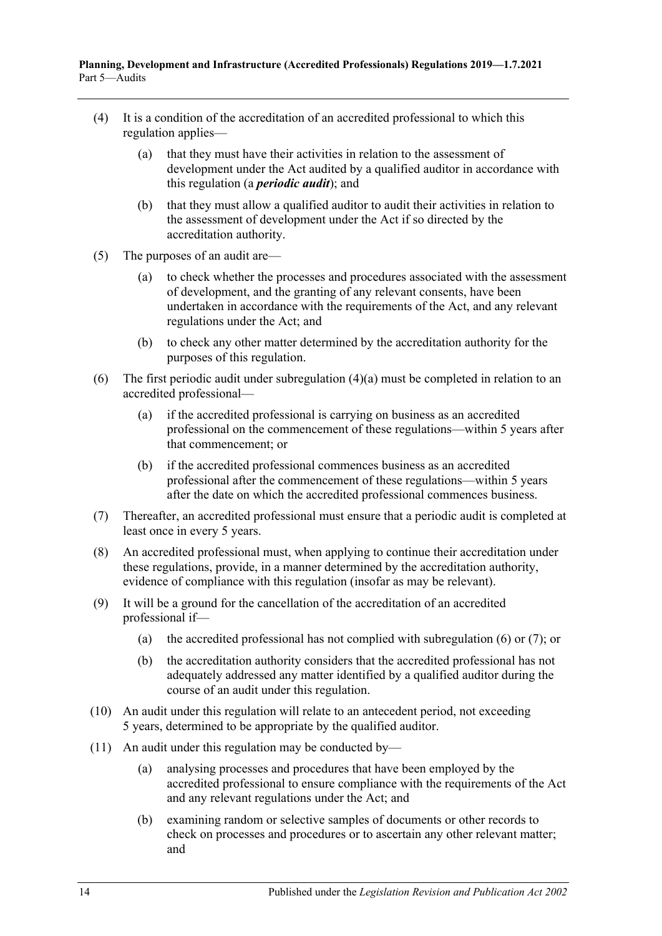- <span id="page-13-0"></span>(4) It is a condition of the accreditation of an accredited professional to which this regulation applies—
	- (a) that they must have their activities in relation to the assessment of development under the Act audited by a qualified auditor in accordance with this regulation (a *periodic audit*); and
	- (b) that they must allow a qualified auditor to audit their activities in relation to the assessment of development under the Act if so directed by the accreditation authority.
- (5) The purposes of an audit are—
	- (a) to check whether the processes and procedures associated with the assessment of development, and the granting of any relevant consents, have been undertaken in accordance with the requirements of the Act, and any relevant regulations under the Act; and
	- (b) to check any other matter determined by the accreditation authority for the purposes of this regulation.
- <span id="page-13-1"></span>(6) The first periodic audit under [subregulation](#page-13-0) (4)(a) must be completed in relation to an accredited professional—
	- (a) if the accredited professional is carrying on business as an accredited professional on the commencement of these regulations—within 5 years after that commencement; or
	- (b) if the accredited professional commences business as an accredited professional after the commencement of these regulations—within 5 years after the date on which the accredited professional commences business.
- <span id="page-13-2"></span>(7) Thereafter, an accredited professional must ensure that a periodic audit is completed at least once in every 5 years.
- (8) An accredited professional must, when applying to continue their accreditation under these regulations, provide, in a manner determined by the accreditation authority, evidence of compliance with this regulation (insofar as may be relevant).
- (9) It will be a ground for the cancellation of the accreditation of an accredited professional if
	- (a) the accredited professional has not complied with [subregulation](#page-13-1)  $(6)$  or  $(7)$ ; or
	- (b) the accreditation authority considers that the accredited professional has not adequately addressed any matter identified by a qualified auditor during the course of an audit under this regulation.
- (10) An audit under this regulation will relate to an antecedent period, not exceeding 5 years, determined to be appropriate by the qualified auditor.
- (11) An audit under this regulation may be conducted by—
	- (a) analysing processes and procedures that have been employed by the accredited professional to ensure compliance with the requirements of the Act and any relevant regulations under the Act; and
	- (b) examining random or selective samples of documents or other records to check on processes and procedures or to ascertain any other relevant matter; and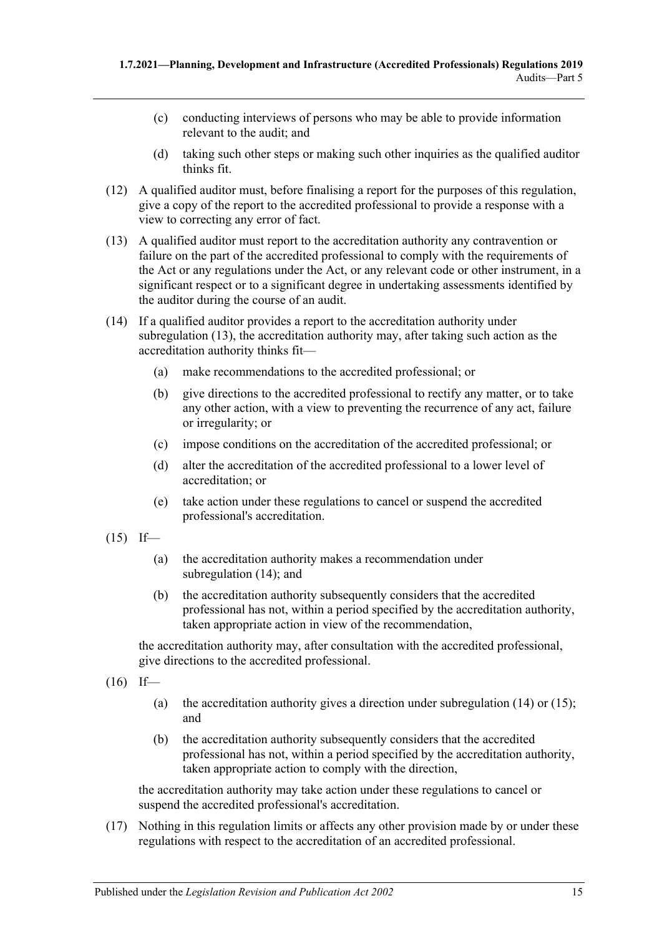- (c) conducting interviews of persons who may be able to provide information relevant to the audit; and
- (d) taking such other steps or making such other inquiries as the qualified auditor thinks fit.
- (12) A qualified auditor must, before finalising a report for the purposes of this regulation, give a copy of the report to the accredited professional to provide a response with a view to correcting any error of fact.
- <span id="page-14-0"></span>(13) A qualified auditor must report to the accreditation authority any contravention or failure on the part of the accredited professional to comply with the requirements of the Act or any regulations under the Act, or any relevant code or other instrument, in a significant respect or to a significant degree in undertaking assessments identified by the auditor during the course of an audit.
- <span id="page-14-1"></span>(14) If a qualified auditor provides a report to the accreditation authority under [subregulation](#page-14-0) (13), the accreditation authority may, after taking such action as the accreditation authority thinks fit—
	- (a) make recommendations to the accredited professional; or
	- (b) give directions to the accredited professional to rectify any matter, or to take any other action, with a view to preventing the recurrence of any act, failure or irregularity; or
	- (c) impose conditions on the accreditation of the accredited professional; or
	- (d) alter the accreditation of the accredited professional to a lower level of accreditation; or
	- (e) take action under these regulations to cancel or suspend the accredited professional's accreditation.
- <span id="page-14-2"></span> $(15)$  If—
	- (a) the accreditation authority makes a recommendation under [subregulation](#page-14-1) (14); and
	- (b) the accreditation authority subsequently considers that the accredited professional has not, within a period specified by the accreditation authority, taken appropriate action in view of the recommendation,

the accreditation authority may, after consultation with the accredited professional, give directions to the accredited professional.

- $(16)$  If—
	- (a) the accreditation authority gives a direction under [subregulation](#page-14-1) (14) or [\(15\);](#page-14-2) and
	- (b) the accreditation authority subsequently considers that the accredited professional has not, within a period specified by the accreditation authority, taken appropriate action to comply with the direction,

the accreditation authority may take action under these regulations to cancel or suspend the accredited professional's accreditation.

(17) Nothing in this regulation limits or affects any other provision made by or under these regulations with respect to the accreditation of an accredited professional.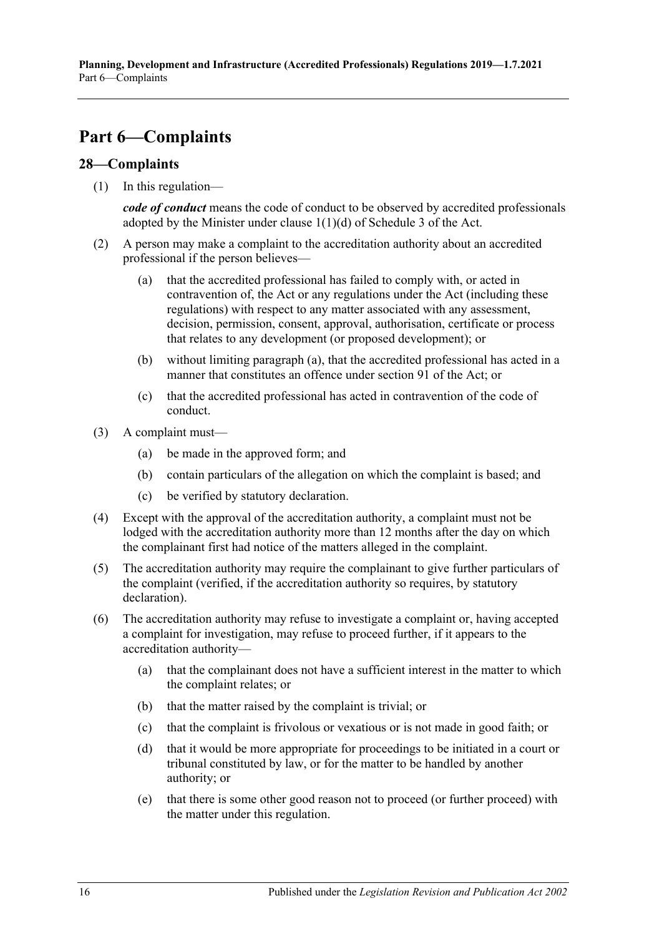# <span id="page-15-0"></span>**Part 6—Complaints**

### <span id="page-15-1"></span>**28—Complaints**

(1) In this regulation—

*code of conduct* means the code of conduct to be observed by accredited professionals adopted by the Minister under clause  $1(1)(d)$  of Schedule 3 of the Act.

- <span id="page-15-2"></span>(2) A person may make a complaint to the accreditation authority about an accredited professional if the person believes—
	- (a) that the accredited professional has failed to comply with, or acted in contravention of, the Act or any regulations under the Act (including these regulations) with respect to any matter associated with any assessment, decision, permission, consent, approval, authorisation, certificate or process that relates to any development (or proposed development); or
	- (b) without limiting [paragraph](#page-15-2) (a), that the accredited professional has acted in a manner that constitutes an offence under section 91 of the Act; or
	- (c) that the accredited professional has acted in contravention of the code of conduct.
- (3) A complaint must—
	- (a) be made in the approved form; and
	- (b) contain particulars of the allegation on which the complaint is based; and
	- (c) be verified by statutory declaration.
- (4) Except with the approval of the accreditation authority, a complaint must not be lodged with the accreditation authority more than 12 months after the day on which the complainant first had notice of the matters alleged in the complaint.
- (5) The accreditation authority may require the complainant to give further particulars of the complaint (verified, if the accreditation authority so requires, by statutory declaration).
- <span id="page-15-3"></span>(6) The accreditation authority may refuse to investigate a complaint or, having accepted a complaint for investigation, may refuse to proceed further, if it appears to the accreditation authority—
	- (a) that the complainant does not have a sufficient interest in the matter to which the complaint relates; or
	- (b) that the matter raised by the complaint is trivial; or
	- (c) that the complaint is frivolous or vexatious or is not made in good faith; or
	- (d) that it would be more appropriate for proceedings to be initiated in a court or tribunal constituted by law, or for the matter to be handled by another authority; or
	- (e) that there is some other good reason not to proceed (or further proceed) with the matter under this regulation.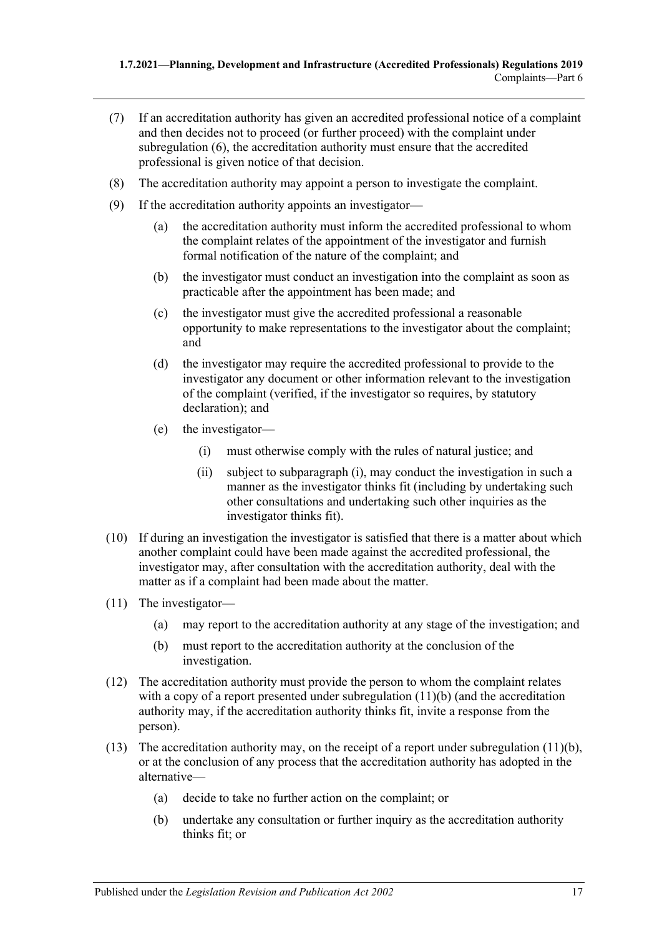- (7) If an accreditation authority has given an accredited professional notice of a complaint and then decides not to proceed (or further proceed) with the complaint under [subregulation](#page-15-3) (6), the accreditation authority must ensure that the accredited professional is given notice of that decision.
- (8) The accreditation authority may appoint a person to investigate the complaint.
- (9) If the accreditation authority appoints an investigator—
	- (a) the accreditation authority must inform the accredited professional to whom the complaint relates of the appointment of the investigator and furnish formal notification of the nature of the complaint; and
	- (b) the investigator must conduct an investigation into the complaint as soon as practicable after the appointment has been made; and
	- (c) the investigator must give the accredited professional a reasonable opportunity to make representations to the investigator about the complaint; and
	- (d) the investigator may require the accredited professional to provide to the investigator any document or other information relevant to the investigation of the complaint (verified, if the investigator so requires, by statutory declaration); and
	- (e) the investigator—
		- (i) must otherwise comply with the rules of natural justice; and
		- (ii) subject to [subparagraph](#page-16-0) (i), may conduct the investigation in such a manner as the investigator thinks fit (including by undertaking such other consultations and undertaking such other inquiries as the investigator thinks fit).
- <span id="page-16-0"></span>(10) If during an investigation the investigator is satisfied that there is a matter about which another complaint could have been made against the accredited professional, the investigator may, after consultation with the accreditation authority, deal with the matter as if a complaint had been made about the matter.
- <span id="page-16-1"></span>(11) The investigator—
	- (a) may report to the accreditation authority at any stage of the investigation; and
	- (b) must report to the accreditation authority at the conclusion of the investigation.
- (12) The accreditation authority must provide the person to whom the complaint relates with a copy of a report presented under [subregulation](#page-16-1) (11)(b) (and the accreditation authority may, if the accreditation authority thinks fit, invite a response from the person).
- <span id="page-16-2"></span>(13) The accreditation authority may, on the receipt of a report under [subregulation](#page-16-1) (11)(b), or at the conclusion of any process that the accreditation authority has adopted in the alternative—
	- (a) decide to take no further action on the complaint; or
	- (b) undertake any consultation or further inquiry as the accreditation authority thinks fit; or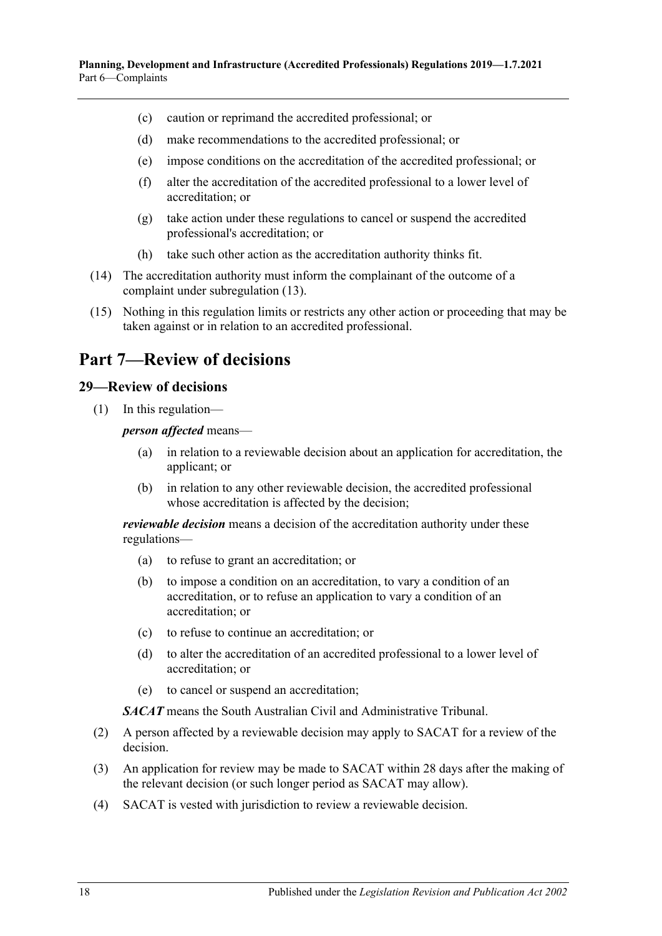- (c) caution or reprimand the accredited professional; or
- (d) make recommendations to the accredited professional; or
- (e) impose conditions on the accreditation of the accredited professional; or
- (f) alter the accreditation of the accredited professional to a lower level of accreditation; or
- (g) take action under these regulations to cancel or suspend the accredited professional's accreditation; or
- (h) take such other action as the accreditation authority thinks fit.
- (14) The accreditation authority must inform the complainant of the outcome of a complaint under [subregulation](#page-16-2) (13).
- (15) Nothing in this regulation limits or restricts any other action or proceeding that may be taken against or in relation to an accredited professional.

# <span id="page-17-0"></span>**Part 7—Review of decisions**

#### <span id="page-17-1"></span>**29—Review of decisions**

(1) In this regulation—

*person affected* means—

- (a) in relation to a reviewable decision about an application for accreditation, the applicant; or
- (b) in relation to any other reviewable decision, the accredited professional whose accreditation is affected by the decision;

*reviewable decision* means a decision of the accreditation authority under these regulations—

- (a) to refuse to grant an accreditation; or
- (b) to impose a condition on an accreditation, to vary a condition of an accreditation, or to refuse an application to vary a condition of an accreditation; or
- (c) to refuse to continue an accreditation; or
- (d) to alter the accreditation of an accredited professional to a lower level of accreditation; or
- (e) to cancel or suspend an accreditation;

*SACAT* means the South Australian Civil and Administrative Tribunal.

- (2) A person affected by a reviewable decision may apply to SACAT for a review of the decision.
- (3) An application for review may be made to SACAT within 28 days after the making of the relevant decision (or such longer period as SACAT may allow).
- (4) SACAT is vested with jurisdiction to review a reviewable decision.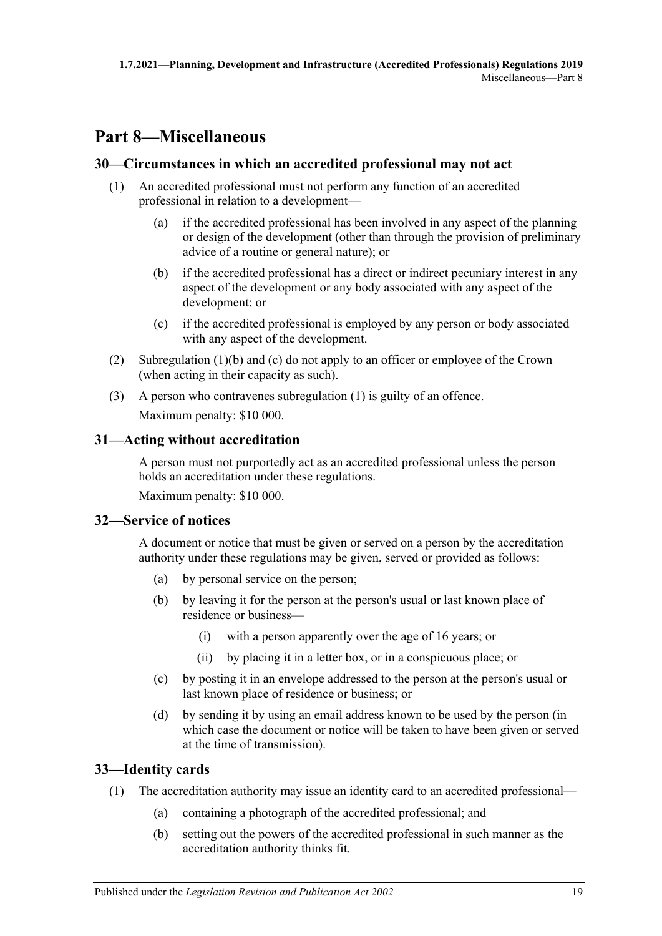# <span id="page-18-0"></span>**Part 8—Miscellaneous**

# <span id="page-18-7"></span><span id="page-18-1"></span>**30—Circumstances in which an accredited professional may not act**

- <span id="page-18-5"></span>(1) An accredited professional must not perform any function of an accredited professional in relation to a development—
	- (a) if the accredited professional has been involved in any aspect of the planning or design of the development (other than through the provision of preliminary advice of a routine or general nature); or
	- (b) if the accredited professional has a direct or indirect pecuniary interest in any aspect of the development or any body associated with any aspect of the development; or
	- (c) if the accredited professional is employed by any person or body associated with any aspect of the development.
- <span id="page-18-6"></span>(2) [Subregulation](#page-18-5) (1)(b) and [\(c\)](#page-18-6) do not apply to an officer or employee of the Crown (when acting in their capacity as such).
- (3) A person who contravenes [subregulation](#page-18-7) (1) is guilty of an offence. Maximum penalty: \$10 000.

# <span id="page-18-2"></span>**31—Acting without accreditation**

A person must not purportedly act as an accredited professional unless the person holds an accreditation under these regulations.

Maximum penalty: \$10 000.

## <span id="page-18-3"></span>**32—Service of notices**

A document or notice that must be given or served on a person by the accreditation authority under these regulations may be given, served or provided as follows:

- (a) by personal service on the person;
- (b) by leaving it for the person at the person's usual or last known place of residence or business—
	- (i) with a person apparently over the age of 16 years; or
	- (ii) by placing it in a letter box, or in a conspicuous place; or
- (c) by posting it in an envelope addressed to the person at the person's usual or last known place of residence or business; or
- (d) by sending it by using an email address known to be used by the person (in which case the document or notice will be taken to have been given or served at the time of transmission).

# <span id="page-18-4"></span>**33—Identity cards**

- (1) The accreditation authority may issue an identity card to an accredited professional—
	- (a) containing a photograph of the accredited professional; and
	- (b) setting out the powers of the accredited professional in such manner as the accreditation authority thinks fit.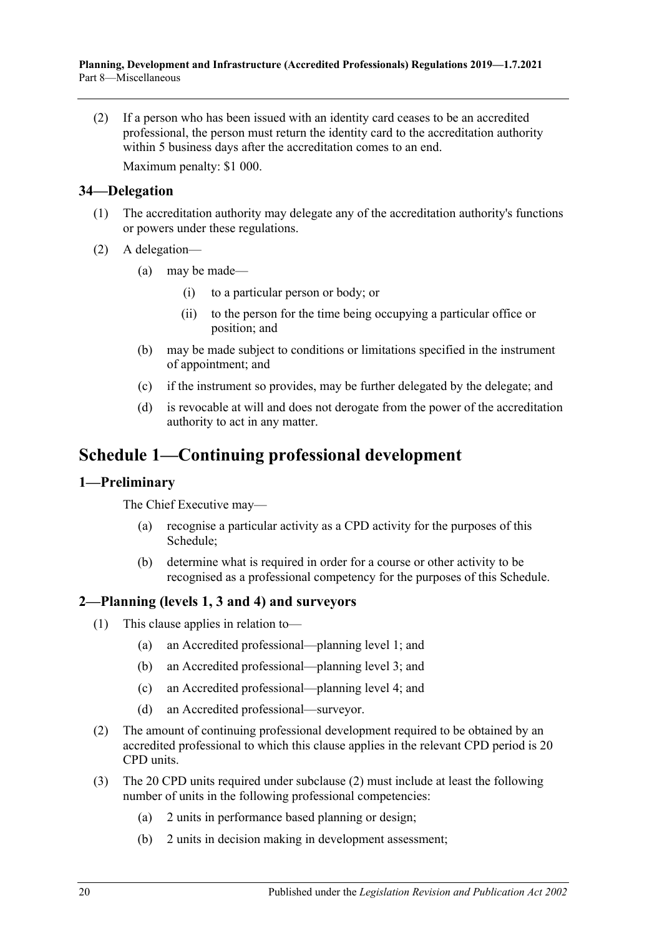(2) If a person who has been issued with an identity card ceases to be an accredited professional, the person must return the identity card to the accreditation authority within 5 business days after the accreditation comes to an end. Maximum penalty: \$1 000.

## <span id="page-19-0"></span>**34—Delegation**

- (1) The accreditation authority may delegate any of the accreditation authority's functions or powers under these regulations.
- (2) A delegation—
	- (a) may be made—
		- (i) to a particular person or body; or
		- (ii) to the person for the time being occupying a particular office or position; and
	- (b) may be made subject to conditions or limitations specified in the instrument of appointment; and
	- (c) if the instrument so provides, may be further delegated by the delegate; and
	- (d) is revocable at will and does not derogate from the power of the accreditation authority to act in any matter.

# <span id="page-19-1"></span>**Schedule 1—Continuing professional development**

#### <span id="page-19-2"></span>**1—Preliminary**

The Chief Executive may—

- (a) recognise a particular activity as a CPD activity for the purposes of this Schedule;
- (b) determine what is required in order for a course or other activity to be recognised as a professional competency for the purposes of this Schedule.

## <span id="page-19-3"></span>**2—Planning (levels 1, 3 and 4) and surveyors**

- (1) This clause applies in relation to—
	- (a) an Accredited professional—planning level 1; and
	- (b) an Accredited professional—planning level 3; and
	- (c) an Accredited professional—planning level 4; and
	- (d) an Accredited professional—surveyor.
- <span id="page-19-4"></span>(2) The amount of continuing professional development required to be obtained by an accredited professional to which this clause applies in the relevant CPD period is 20 CPD units.
- (3) The 20 CPD units required under [subclause](#page-19-4) (2) must include at least the following number of units in the following professional competencies:
	- (a) 2 units in performance based planning or design;
	- (b) 2 units in decision making in development assessment;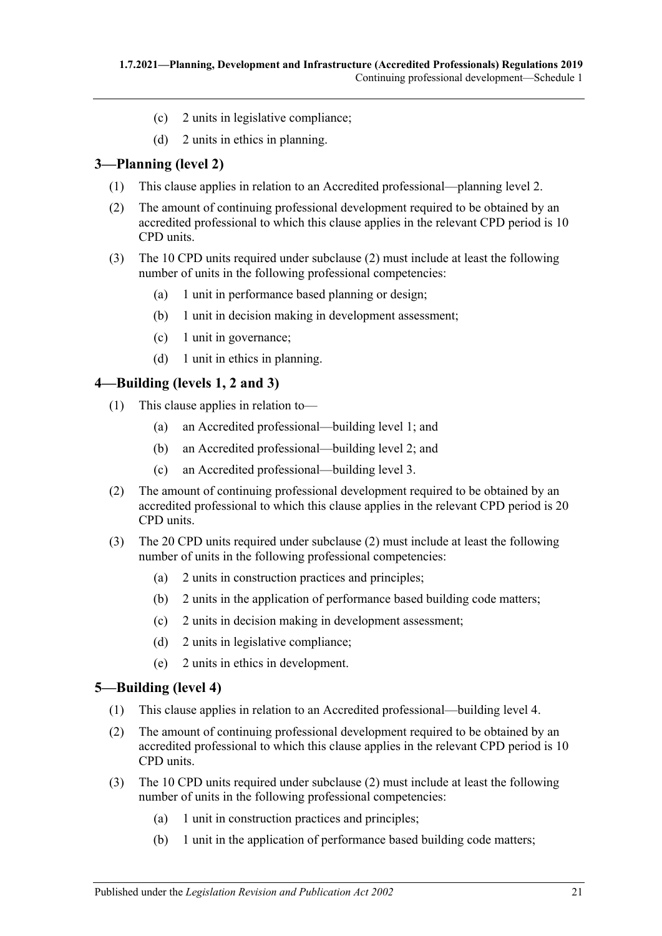- (c) 2 units in legislative compliance;
- (d) 2 units in ethics in planning.

# <span id="page-20-0"></span>**3—Planning (level 2)**

- (1) This clause applies in relation to an Accredited professional—planning level 2.
- <span id="page-20-3"></span>(2) The amount of continuing professional development required to be obtained by an accredited professional to which this clause applies in the relevant CPD period is 10 CPD units.
- (3) The 10 CPD units required under [subclause](#page-20-3) (2) must include at least the following number of units in the following professional competencies:
	- (a) 1 unit in performance based planning or design;
	- (b) 1 unit in decision making in development assessment;
	- (c) 1 unit in governance;
	- (d) 1 unit in ethics in planning.

# <span id="page-20-1"></span>**4—Building (levels 1, 2 and 3)**

- (1) This clause applies in relation to—
	- (a) an Accredited professional—building level 1; and
	- (b) an Accredited professional—building level 2; and
	- (c) an Accredited professional—building level 3.
- <span id="page-20-4"></span>(2) The amount of continuing professional development required to be obtained by an accredited professional to which this clause applies in the relevant CPD period is 20 CPD units.
- (3) The 20 CPD units required under [subclause](#page-20-4) (2) must include at least the following number of units in the following professional competencies:
	- (a) 2 units in construction practices and principles;
	- (b) 2 units in the application of performance based building code matters;
	- (c) 2 units in decision making in development assessment;
	- (d) 2 units in legislative compliance;
	- (e) 2 units in ethics in development.

# <span id="page-20-2"></span>**5—Building (level 4)**

- (1) This clause applies in relation to an Accredited professional—building level 4.
- <span id="page-20-5"></span>(2) The amount of continuing professional development required to be obtained by an accredited professional to which this clause applies in the relevant CPD period is 10 CPD units.
- (3) The 10 CPD units required under [subclause](#page-20-5) (2) must include at least the following number of units in the following professional competencies:
	- (a) 1 unit in construction practices and principles;
	- (b) 1 unit in the application of performance based building code matters;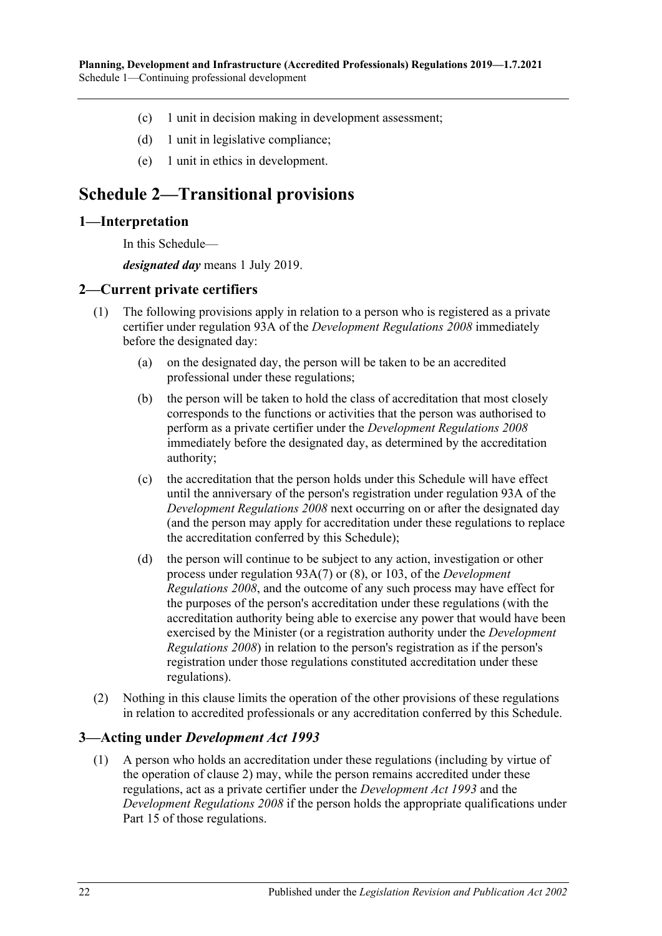- (c) 1 unit in decision making in development assessment;
- (d) 1 unit in legislative compliance;
- (e) 1 unit in ethics in development.

# <span id="page-21-0"></span>**Schedule 2—Transitional provisions**

#### <span id="page-21-1"></span>**1—Interpretation**

In this Schedule—

*designated day* means 1 July 2019.

#### <span id="page-21-2"></span>**2—Current private certifiers**

- (1) The following provisions apply in relation to a person who is registered as a private certifier under regulation 93A of the *[Development Regulations](http://www.legislation.sa.gov.au/index.aspx?action=legref&type=subordleg&legtitle=Development%20Regulations%202008) 2008* immediately before the designated day:
	- (a) on the designated day, the person will be taken to be an accredited professional under these regulations;
	- (b) the person will be taken to hold the class of accreditation that most closely corresponds to the functions or activities that the person was authorised to perform as a private certifier under the *[Development Regulations](http://www.legislation.sa.gov.au/index.aspx?action=legref&type=subordleg&legtitle=Development%20Regulations%202008) 2008* immediately before the designated day, as determined by the accreditation authority;
	- (c) the accreditation that the person holds under this Schedule will have effect until the anniversary of the person's registration under regulation 93A of the *[Development Regulations](http://www.legislation.sa.gov.au/index.aspx?action=legref&type=subordleg&legtitle=Development%20Regulations%202008) 2008* next occurring on or after the designated day (and the person may apply for accreditation under these regulations to replace the accreditation conferred by this Schedule);
	- (d) the person will continue to be subject to any action, investigation or other process under regulation 93A(7) or (8), or 103, of the *[Development](http://www.legislation.sa.gov.au/index.aspx?action=legref&type=subordleg&legtitle=Development%20Regulations%202008)  [Regulations](http://www.legislation.sa.gov.au/index.aspx?action=legref&type=subordleg&legtitle=Development%20Regulations%202008) 2008*, and the outcome of any such process may have effect for the purposes of the person's accreditation under these regulations (with the accreditation authority being able to exercise any power that would have been exercised by the Minister (or a registration authority under the *[Development](http://www.legislation.sa.gov.au/index.aspx?action=legref&type=subordleg&legtitle=Development%20Regulations%202008)  [Regulations](http://www.legislation.sa.gov.au/index.aspx?action=legref&type=subordleg&legtitle=Development%20Regulations%202008) 2008*) in relation to the person's registration as if the person's registration under those regulations constituted accreditation under these regulations).
- (2) Nothing in this clause limits the operation of the other provisions of these regulations in relation to accredited professionals or any accreditation conferred by this Schedule.

## <span id="page-21-4"></span><span id="page-21-3"></span>**3—Acting under** *Development Act 1993*

(1) A person who holds an accreditation under these regulations (including by virtue of the operation of [clause](#page-21-2) 2) may, while the person remains accredited under these regulations, act as a private certifier under the *[Development Act](http://www.legislation.sa.gov.au/index.aspx?action=legref&type=act&legtitle=Development%20Act%201993) 1993* and the *[Development Regulations](http://www.legislation.sa.gov.au/index.aspx?action=legref&type=subordleg&legtitle=Development%20Regulations%202008) 2008* if the person holds the appropriate qualifications under Part 15 of those regulations.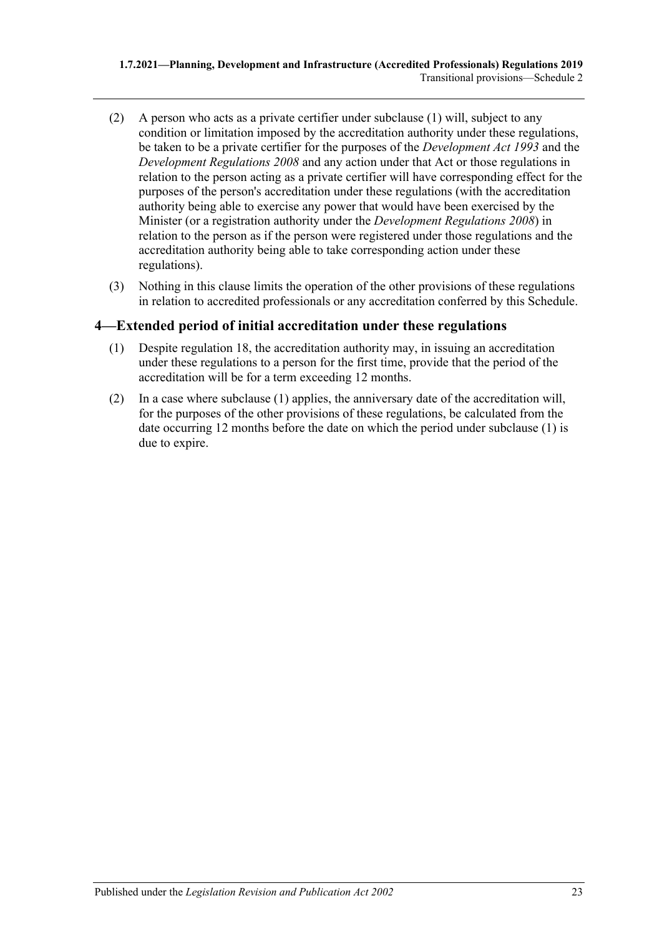- (2) A person who acts as a private certifier under [subclause](#page-21-4) (1) will, subject to any condition or limitation imposed by the accreditation authority under these regulations, be taken to be a private certifier for the purposes of the *[Development Act](http://www.legislation.sa.gov.au/index.aspx?action=legref&type=act&legtitle=Development%20Act%201993) 1993* and the *[Development Regulations](http://www.legislation.sa.gov.au/index.aspx?action=legref&type=subordleg&legtitle=Development%20Regulations%202008) 2008* and any action under that Act or those regulations in relation to the person acting as a private certifier will have corresponding effect for the purposes of the person's accreditation under these regulations (with the accreditation authority being able to exercise any power that would have been exercised by the Minister (or a registration authority under the *[Development Regulations](http://www.legislation.sa.gov.au/index.aspx?action=legref&type=subordleg&legtitle=Development%20Regulations%202008) 2008*) in relation to the person as if the person were registered under those regulations and the accreditation authority being able to take corresponding action under these regulations).
- (3) Nothing in this clause limits the operation of the other provisions of these regulations in relation to accredited professionals or any accreditation conferred by this Schedule.

# <span id="page-22-1"></span><span id="page-22-0"></span>**4—Extended period of initial accreditation under these regulations**

- (1) Despite [regulation](#page-8-0) 18, the accreditation authority may, in issuing an accreditation under these regulations to a person for the first time, provide that the period of the accreditation will be for a term exceeding 12 months.
- (2) In a case where [subclause](#page-22-1) (1) applies, the anniversary date of the accreditation will, for the purposes of the other provisions of these regulations, be calculated from the date occurring 12 months before the date on which the period under [subclause](#page-22-1) (1) is due to expire.